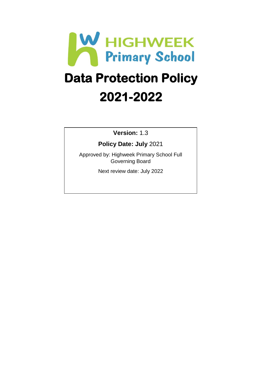

# **Data Protection Policy 2021-2022**

**Version:** 1.3

**Policy Date: July** 2021

Approved by: Highweek Primary School Full Governing Board

Next review date: July 2022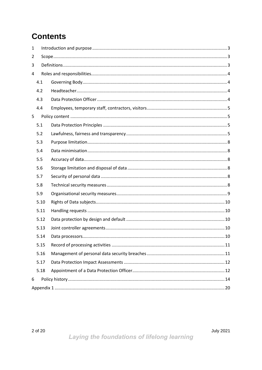# **Contents**

| 1   |      |  |  |  |
|-----|------|--|--|--|
| 2   |      |  |  |  |
| 3   |      |  |  |  |
| 4   |      |  |  |  |
| 4.1 |      |  |  |  |
|     | 4.2  |  |  |  |
|     | 4.3  |  |  |  |
|     | 4.4  |  |  |  |
| 5   |      |  |  |  |
|     | 5.1  |  |  |  |
|     | 5.2  |  |  |  |
|     | 5.3  |  |  |  |
|     | 5.4  |  |  |  |
|     | 5.5  |  |  |  |
|     | 5.6  |  |  |  |
|     | 5.7  |  |  |  |
|     | 5.8  |  |  |  |
|     | 5.9  |  |  |  |
|     | 5.10 |  |  |  |
|     | 5.11 |  |  |  |
|     | 5.12 |  |  |  |
|     | 5.13 |  |  |  |
|     | 5.14 |  |  |  |
|     | 5.15 |  |  |  |
|     | 5.16 |  |  |  |
|     | 5.17 |  |  |  |
|     | 5.18 |  |  |  |
| 6   |      |  |  |  |
|     |      |  |  |  |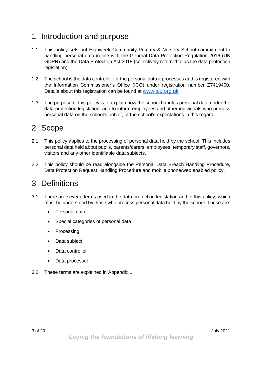# <span id="page-2-0"></span>1 Introduction and purpose

- 1.1 This policy sets out Highweek Community Primary & Nursery School commitment to handling personal data in line with the General Data Protection Regulation 2016 (UK GDPR) and the Data Protection Act 2018 (collectively referred to as the data protection legislation).
- 1.2 The school is the data controller for the personal data it processes and is registered with the Information Commissioner's Office (ICO) under registration number Z7419400, Details about this registration can be found at [www.ico.org.uk](http://www.ico.org.uk/)
- 1.3 The purpose of this policy is to explain how the school handles personal data under the data protection legislation, and to inform employees and other individuals who process personal data on the school's behalf, of the school's expectations in this regard.

# <span id="page-2-1"></span>2 Scope

- 2.1 This policy applies to the processing of personal data held by the school. This includes personal data held about pupils, parents/carers, employees, temporary staff, governors, visitors and any other identifiable data subjects.
- 2.2 This policy should be read alongside the Personal Data Breach Handling Procedure, Data Protection Request Handling Procedure and mobile phone/web enabled policy.

# <span id="page-2-2"></span>3 Definitions

- 3.1 There are several terms used in the data protection legislation and in this policy, which must be understood by those who process personal data held by the school. These are:
	- Personal data
	- Special categories of personal data
	- Processing
	- Data subject
	- Data controller
	- Data processor
- 3.2 These terms are explained in Appendix 1.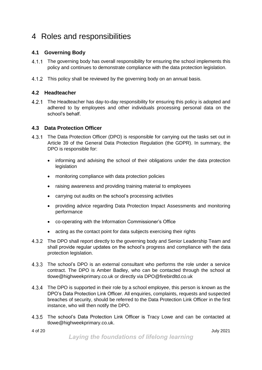# <span id="page-3-0"></span>4 Roles and responsibilities

#### <span id="page-3-1"></span>**4.1 Governing Body**

- 4.1.1 The governing body has overall responsibility for ensuring the school implements this policy and continues to demonstrate compliance with the data protection legislation.
- 4.1.2 This policy shall be reviewed by the governing body on an annual basis.

#### <span id="page-3-2"></span>**4.2 Headteacher**

The Headteacher has day-to-day responsibility for ensuring this policy is adopted and adhered to by employees and other individuals processing personal data on the school's behalf.

#### <span id="page-3-3"></span>**4.3 Data Protection Officer**

- 4.3.1 The Data Protection Officer (DPO) is responsible for carrying out the tasks set out in Article 39 of the General Data Protection Regulation (the GDPR). In summary, the DPO is responsible for:
	- informing and advising the school of their obligations under the data protection legislation
	- monitoring compliance with data protection policies
	- raising awareness and providing training material to employees
	- carrying out audits on the school's processing activities
	- providing advice regarding Data Protection Impact Assessments and monitoring performance
	- co-operating with the Information Commissioner's Office
	- acting as the contact point for data subjects exercising their rights
- 4.3.2 The DPO shall report directly to the governing body and Senior Leadership Team and shall provide regular updates on the school's progress and compliance with the data protection legislation.
- 4.3.3 The school's DPO is an external consultant who performs the role under a service contract. The DPO is Amber Badley, who can be contacted through the school at tlowe@highweekprimary.co.uk or directly via DPO@firebirdltd.co.uk
- The DPO is supported in their role by a school employee, this person is known as the DPO's Data Protection Link Officer. All enquiries, complaints, requests and suspected breaches of security, should be referred to the Data Protection Link Officer in the first instance, who will then notify the DPO.
- The school's Data Protection Link Officer is Tracy Lowe and can be contacted at tlowe@highweekprimary.co.uk.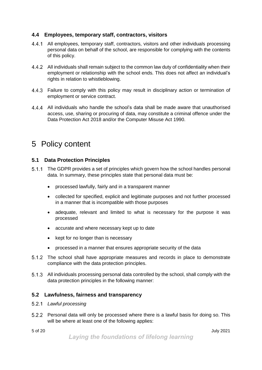#### <span id="page-4-0"></span>**4.4 Employees, temporary staff, contractors, visitors**

- All employees, temporary staff, contractors, visitors and other individuals processing personal data on behalf of the school, are responsible for complying with the contents of this policy.
- All individuals shall remain subject to the common law duty of confidentiality when their employment or relationship with the school ends. This does not affect an individual's rights in relation to whistleblowing.
- 4.4.3 Failure to comply with this policy may result in disciplinary action or termination of employment or service contract.
- All individuals who handle the school's data shall be made aware that unauthorised access, use, sharing or procuring of data, may constitute a criminal offence under the Data Protection Act 2018 and/or the Computer Misuse Act 1990.

# <span id="page-4-1"></span>5 Policy content

#### <span id="page-4-2"></span>**5.1 Data Protection Principles**

- 5.1.1 The GDPR provides a set of principles which govern how the school handles personal data. In summary, these principles state that personal data must be:
	- processed lawfully, fairly and in a transparent manner
	- collected for specified, explicit and legitimate purposes and not further processed in a manner that is incompatible with those purposes
	- adequate, relevant and limited to what is necessary for the purpose it was processed
	- accurate and where necessary kept up to date
	- kept for no longer than is necessary
	- processed in a manner that ensures appropriate security of the data
- The school shall have appropriate measures and records in place to demonstrate compliance with the data protection principles.
- All individuals processing personal data controlled by the school, shall comply with the data protection principles in the following manner:

#### <span id="page-4-3"></span>**5.2 Lawfulness, fairness and transparency**

- *Lawful processing*
- Personal data will only be processed where there is a lawful basis for doing so. This will be where at least one of the following applies: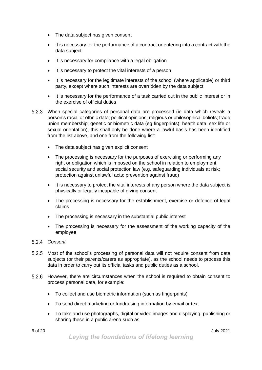- The data subject has given consent
- It is necessary for the performance of a contract or entering into a contract with the data subject
- It is necessary for compliance with a legal obligation
- It is necessary to protect the vital interests of a person
- It is necessary for the legitimate interests of the school (where applicable) or third party, except where such interests are overridden by the data subject
- It is necessary for the performance of a task carried out in the public interest or in the exercise of official duties
- When special categories of personal data are processed (ie data which reveals a person's racial or ethnic data; political opinions; religious or philosophical beliefs; trade union membership; genetic or biometric data (eg fingerprints); health data; sex life or sexual orientation), this shall only be done where a lawful basis has been identified from the list above, and one from the following list:
	- The data subject has given explicit consent
	- The processing is necessary for the purposes of exercising or performing any right or obligation which is imposed on the school in relation to employment, social security and social protection law (e.g. safeguarding individuals at risk; protection against unlawful acts; prevention against fraud)
	- It is necessary to protect the vital interests of any person where the data subject is physically or legally incapable of giving consent
	- The processing is necessary for the establishment, exercise or defence of legal claims
	- The processing is necessary in the substantial public interest
	- The processing is necessary for the assessment of the working capacity of the employee
- *Consent*
- 5.2.5 Most of the school's processing of personal data will not require consent from data subjects (or their parents/carers as appropriate), as the school needs to process this data in order to carry out its official tasks and public duties as a school.
- 5.2.6 However, there are circumstances when the school is required to obtain consent to process personal data, for example:
	- To collect and use biometric information (such as fingerprints)
	- To send direct marketing or fundraising information by email or text
	- To take and use photographs, digital or video images and displaying, publishing or sharing these in a public arena such as: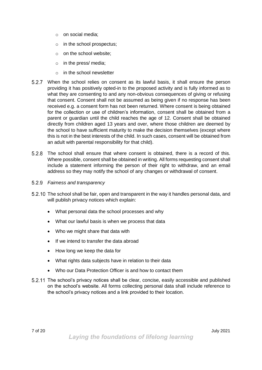- o on social media;
- o in the school prospectus;
- o on the school website;
- o in the press/ media;
- o in the school newsletter
- When the school relies on consent as its lawful basis, it shall ensure the person providing it has positively opted-in to the proposed activity and is fully informed as to what they are consenting to and any non-obvious consequences of giving or refusing that consent. Consent shall not be assumed as being given if no response has been received e.g. a consent form has not been returned. Where consent is being obtained for the collection or use of children's information, consent shall be obtained from a parent or guardian until the child reaches the age of 12. Consent shall be obtained directly from children aged 13 years and over, where those children are deemed by the school to have sufficient maturity to make the decision themselves (except where this is not in the best interests of the child. In such cases, consent will be obtained from an adult with parental responsibility for that child).
- The school shall ensure that where consent is obtained, there is a record of this. Where possible, consent shall be obtained in writing. All forms requesting consent shall include a statement informing the person of their right to withdraw, and an email address so they may notify the school of any changes or withdrawal of consent.
- *Fairness and transparency*
- 5.2.10 The school shall be fair, open and transparent in the way it handles personal data, and will publish privacy notices which explain:
	- What personal data the school processes and why
	- What our lawful basis is when we process that data
	- Who we might share that data with
	- If we intend to transfer the data abroad
	- How long we keep the data for
	- What rights data subjects have in relation to their data
	- Who our Data Protection Officer is and how to contact them
- The school's privacy notices shall be clear, concise, easily accessible and published on the school's website. All forms collecting personal data shall include reference to the school's privacy notices and a link provided to their location.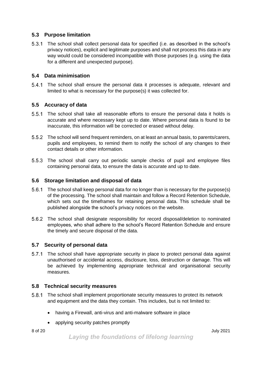#### <span id="page-7-0"></span>**5.3 Purpose limitation**

The school shall collect personal data for specified (i.e. as described in the school's privacy notices), explicit and legitimate purposes and shall not process this data in any way would could be considered incompatible with those purposes (e.g. using the data for a different and unexpected purpose).

#### <span id="page-7-1"></span>**5.4 Data minimisation**

The school shall ensure the personal data it processes is adequate, relevant and limited to what is necessary for the purpose(s) it was collected for.

#### <span id="page-7-2"></span>**5.5 Accuracy of data**

- The school shall take all reasonable efforts to ensure the personal data it holds is accurate and where necessary kept up to date. Where personal data is found to be inaccurate, this information will be corrected or erased without delay.
- The school will send frequent reminders, on at least an annual basis, to parents/carers, pupils and employees, to remind them to notify the school of any changes to their contact details or other information.
- 5.5.3 The school shall carry out periodic sample checks of pupil and employee files containing personal data, to ensure the data is accurate and up to date.

#### <span id="page-7-3"></span>**5.6 Storage limitation and disposal of data**

- 5.6.1 The school shall keep personal data for no longer than is necessary for the purpose(s) of the processing. The school shall maintain and follow a Record Retention Schedule, which sets out the timeframes for retaining personal data. This schedule shall be published alongside the school's privacy notices on the website.
- The school shall designate responsibility for record disposal/deletion to nominated employees, who shall adhere to the school's Record Retention Schedule and ensure the timely and secure disposal of the data.

#### <span id="page-7-4"></span>**5.7 Security of personal data**

The school shall have appropriate security in place to protect personal data against unauthorised or accidental access, disclosure, loss, destruction or damage. This will be achieved by implementing appropriate technical and organisational security measures.

#### <span id="page-7-5"></span>**5.8 Technical security measures**

- The school shall implement proportionate security measures to protect its network and equipment and the data they contain. This includes, but is not limited to:
	- having a Firewall, anti-virus and anti-malware software in place
	- applying security patches promptly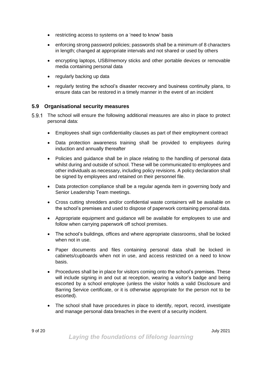- restricting access to systems on a 'need to know' basis
- enforcing strong password policies; passwords shall be a minimum of 8 characters in length; changed at appropriate intervals and not shared or used by others
- encrypting laptops, USB/memory sticks and other portable devices or removable media containing personal data
- regularly backing up data
- regularly testing the school's disaster recovery and business continuity plans, to ensure data can be restored in a timely manner in the event of an incident

#### <span id="page-8-0"></span>**5.9 Organisational security measures**

- 5.9.1 The school will ensure the following additional measures are also in place to protect personal data:
	- Employees shall sign confidentiality clauses as part of their employment contract
	- Data protection awareness training shall be provided to employees during induction and annually thereafter
	- Policies and guidance shall be in place relating to the handling of personal data whilst during and outside of school. These will be communicated to employees and other individuals as necessary, including policy revisions. A policy declaration shall be signed by employees and retained on their personnel file.
	- Data protection compliance shall be a regular agenda item in governing body and Senior Leadership Team meetings.
	- Cross cutting shredders and/or confidential waste containers will be available on the school's premises and used to dispose of paperwork containing personal data.
	- Appropriate equipment and guidance will be available for employees to use and follow when carrying paperwork off school premises.
	- The school's buildings, offices and where appropriate classrooms, shall be locked when not in use.
	- Paper documents and files containing personal data shall be locked in cabinets/cupboards when not in use, and access restricted on a need to know basis.
	- Procedures shall be in place for visitors coming onto the school's premises. These will include signing in and out at reception, wearing a visitor's badge and being escorted by a school employee (unless the visitor holds a valid Disclosure and Barring Service certificate, or it is otherwise appropriate for the person not to be escorted).
	- The school shall have procedures in place to identify, report, record, investigate and manage personal data breaches in the event of a security incident.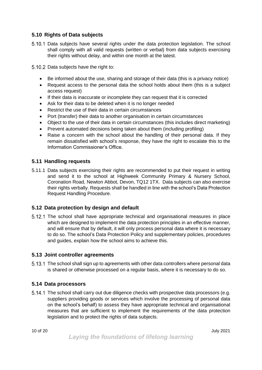#### <span id="page-9-0"></span>**5.10 Rights of Data subjects**

- 5.10.1 Data subjects have several rights under the data protection legislation. The school shall comply with all valid requests (written or verbal) from data subjects exercising their rights without delay, and within one month at the latest.
- 5.10.2 Data subiects have the right to:
	- Be informed about the use, sharing and storage of their data (this is a privacy notice)
	- Request access to the personal data the school holds about them (this is a subject access request)
	- If their data is inaccurate or incomplete they can request that it is corrected
	- Ask for their data to be deleted when it is no longer needed
	- Restrict the use of their data in certain circumstances
	- Port (transfer) their data to another organisation in certain circumstances
	- Object to the use of their data in certain circumstances (this includes direct marketing)
	- Prevent automated decisions being taken about them (including profiling)
	- Raise a concern with the school about the handling of their personal data. If they remain dissatisfied with school's response, they have the right to escalate this to the Information Commissioner's Office.

#### <span id="page-9-1"></span>**5.11 Handling requests**

5.11.1 Data subjects exercising their rights are recommended to put their request in writing and send it to the school at Highweek Community Primary & Nursery School, Coronation Road, Newton Abbot, Devon, TQ12 1TX. Data subjects can also exercise their rights verbally. Requests shall be handled in line with the school's Data Protection Request Handling Procedure.

#### <span id="page-9-2"></span>**5.12 Data protection by design and default**

5.12.1 The school shall have appropriate technical and organisational measures in place which are designed to implement the data protection principles in an effective manner, and will ensure that by default, it will only process personal data where it is necessary to do so. The school's Data Protection Policy and supplementary policies, procedures and guides, explain how the school aims to achieve this.

#### <span id="page-9-3"></span>**5.13 Joint controller agreements**

The school shall sign up to agreements with other data controllers where personal data is shared or otherwise processed on a regular basis, where it is necessary to do so.

#### <span id="page-9-4"></span>**5.14 Data processors**

5.14.1 The school shall carry out due diligence checks with prospective data processors (e.g. suppliers providing goods or services which involve the processing of personal data on the school's behalf) to assess they have appropriate technical and organisational measures that are sufficient to implement the requirements of the data protection legislation and to protect the rights of data subjects.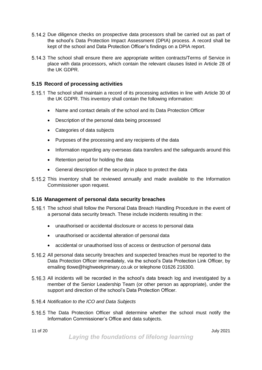- Due diligence checks on prospective data processors shall be carried out as part of the school's Data Protection Impact Assessment (DPIA) process. A record shall be kept of the school and Data Protection Officer's findings on a DPIA report.
- 5.14.3 The school shall ensure there are appropriate written contracts/Terms of Service in place with data processors, which contain the relevant clauses listed in Article 28 of the UK GDPR.

#### <span id="page-10-0"></span>**5.15 Record of processing activities**

- 5.15.1 The school shall maintain a record of its processing activities in line with Article 30 of the UK GDPR. This inventory shall contain the following information:
	- Name and contact details of the school and its Data Protection Officer
	- Description of the personal data being processed
	- Categories of data subjects
	- Purposes of the processing and any recipients of the data
	- Information regarding any overseas data transfers and the safeguards around this
	- Retention period for holding the data
	- General description of the security in place to protect the data
- 5.15.2 This inventory shall be reviewed annually and made available to the Information Commissioner upon request.

#### <span id="page-10-1"></span>**5.16 Management of personal data security breaches**

- 5.16.1 The school shall follow the Personal Data Breach Handling Procedure in the event of a personal data security breach. These include incidents resulting in the:
	- unauthorised or accidental disclosure or access to personal data
	- unauthorised or accidental alteration of personal data
	- accidental or unauthorised loss of access or destruction of personal data
- 5.16.2 All personal data security breaches and suspected breaches must be reported to the Data Protection Officer immediately, via the school's Data Protection Link Officer, by emailing tlowe@highweekprimary.co.uk or telephone 01626 216300.
- 5.16.3 All incidents will be recorded in the school's data breach log and investigated by a member of the Senior Leadership Team (or other person as appropriate), under the support and direction of the school's Data Protection Officer.
- *Notification to the ICO and Data Subjects*
- 5.16.5 The Data Protection Officer shall determine whether the school must notify the Information Commissioner's Office and data subjects.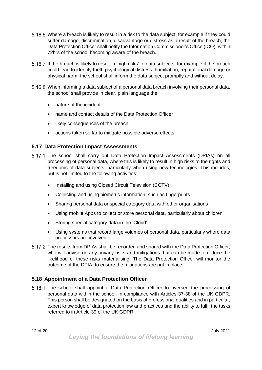- Where a breach is likely to result in a risk to the data subject, for example if they could suffer damage, discrimination, disadvantage or distress as a result of the breach, the Data Protection Officer shall notify the Information Commissioner's Office (ICO), within 72hrs of the school becoming aware of the breach.
- If the breach is likely to result in 'high risks' to data subjects, for example if the breach could lead to identity theft, psychological distress, humiliation, reputational damage or physical harm, the school shall inform the data subject promptly and without delay.
- When informing a data subject of a personal data breach involving their personal data, the school shall provide in clear, plain language the:
	- nature of the incident
	- name and contact details of the Data Protection Officer
	- likely consequences of the breach
	- actions taken so far to mitigate possible adverse effects

#### <span id="page-11-0"></span>**5.17 Data Protection Impact Assessments**

- 5.17.1 The school shall carry out Data Protection Impact Assessments (DPIAs) on all processing of personal data, where this is likely to result in high risks to the rights and freedoms of data subjects, particularly when using new technologies. This includes, but is not limited to the following activities:
	- Installing and using Closed Circuit Television (CCTV)
	- Collecting and using biometric information, such as fingerprints
	- Sharing personal data or special category data with other organisations
	- Using mobile Apps to collect or store personal data, particularly about children
	- Storing special category data in the 'Cloud'
	- Using systems that record large volumes of personal data, particularly where data processors are involved
- 5.17.2 The results from DPIAs shall be recorded and shared with the Data Protection Officer, who will advise on any privacy risks and mitigations that can be made to reduce the likelihood of these risks materialising. The Data Protection Officer will monitor the outcome of the DPIA, to ensure the mitigations are put in place.

#### <span id="page-11-1"></span>**5.18 Appointment of a Data Protection Officer**

5.18.1 The school shall appoint a Data Protection Officer to oversee the processing of personal data within the school, in compliance with Articles 37-38 of the UK GDPR. This person shall be designated on the basis of professional qualities and in particular, expert knowledge of data protection law and practices and the ability to fulfil the tasks referred to in Article 39 of the UK GDPR.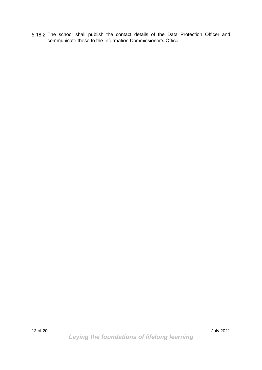5.18.2 The school shall publish the contact details of the Data Protection Officer and communicate these to the Information Commissioner's Office.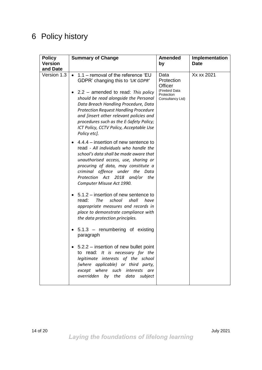# <span id="page-13-0"></span>6 Policy history

| <b>Policy</b><br><b>Version</b> | <b>Summary of Change</b>                                                                                                                                                                                                                                                                                                                                                                                        | <b>Amended</b><br>by                                                              | Implementation<br><b>Date</b> |
|---------------------------------|-----------------------------------------------------------------------------------------------------------------------------------------------------------------------------------------------------------------------------------------------------------------------------------------------------------------------------------------------------------------------------------------------------------------|-----------------------------------------------------------------------------------|-------------------------------|
| and Date<br>Version 1.3         | $1.1$ – removal of the reference 'EU<br>$\bullet$<br>GDPR' changing this to 'UK GDPR'<br>$2.2 -$ amended to read: This policy<br>should be read alongside the Personal<br>Data Breach Handling Procedure, Data<br><b>Protection Request Handling Procedure</b><br>and [insert other relevant policies and<br>procedures such as the E-Safety Policy;<br>ICT Policy, CCTV Policy, Acceptable Use<br>Policy etc]. | Data<br>Protection<br>Officer<br>(Firebird Data<br>Protection<br>Consultancy Ltd) | Xx xx 2021                    |
|                                 | 4.4.4 – insertion of new sentence to<br>read - All individuals who handle the<br>school's data shall be made aware that<br>unauthorised access, use, sharing or<br>procuring of data, may constitute a<br>criminal offence under the Data<br>Protection Act 2018 and/or the<br>Computer Misuse Act 1990.                                                                                                        |                                                                                   |                               |
|                                 | 5.1.2 – insertion of new sentence to<br>read:<br>The<br>school<br>shall<br>have<br>appropriate measures and records in<br>place to demonstrate compliance with<br>the data protection principles.<br>$5.1.3$ – renumbering of existing                                                                                                                                                                          |                                                                                   |                               |
|                                 | paragraph<br>5.2.2 – insertion of new bullet point<br>to read: It is necessary for the<br>legitimate interests of the school<br>(where applicable) or third party,<br>except where such interests are<br>overridden by the data subject                                                                                                                                                                         |                                                                                   |                               |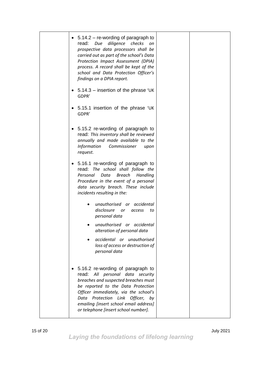| $5.14.2 -$ re-wording of paragraph to<br>read:<br>diligence<br>checks<br>Due<br>on<br>prospective data processors shall be<br>carried out as part of the school's Data<br>Protection Impact Assessment (DPIA)<br>process. A record shall be kept of the<br>school and Data Protection Officer's<br>findings on a DPIA report. |
|-------------------------------------------------------------------------------------------------------------------------------------------------------------------------------------------------------------------------------------------------------------------------------------------------------------------------------|
| $5.14.3$ – insertion of the phrase 'UK<br>GDPR'                                                                                                                                                                                                                                                                               |
| 5.15.1 insertion of the phrase 'UK<br>GDPR'                                                                                                                                                                                                                                                                                   |
| 5.15.2 re-wording of paragraph to<br>$\bullet$<br>read: This inventory shall be reviewed<br>annually and made available to the<br><b>Information</b><br>Commissioner<br>upon<br>request.                                                                                                                                      |
| 5.16.1 re-wording of paragraph to<br>read: The school shall follow the<br>Personal<br>Data<br>Breach<br>Handling<br>Procedure in the event of a personal<br>data security breach. These include<br>incidents resulting in the:                                                                                                |
| unauthorised or accidental<br>disclosure<br>or<br>access<br>to<br>personal data                                                                                                                                                                                                                                               |
| unauthorised or accidental<br>alteration of personal data                                                                                                                                                                                                                                                                     |
| accidental or unauthorised<br>loss of access or destruction of<br>personal data                                                                                                                                                                                                                                               |
| 5.16.2 re-wording of paragraph to<br>read: All personal data security<br>breaches and suspected breaches must<br>be reported to the Data Protection<br>Officer immediately, via the school's<br>Data Protection Link Officer, by<br>emailing [insert school email address]<br>or telephone [insert school number].            |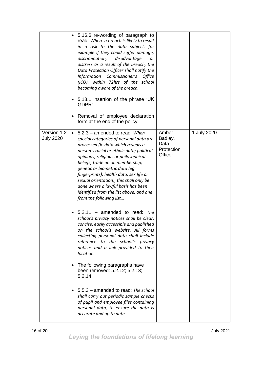|                                 | 5.16.6 re-wording of paragraph to<br>$\bullet$<br>read: Where a breach is likely to result<br>in a risk to the data subject, for<br>example if they could suffer damage,<br>discrimination,<br>disadvantage<br>or<br>distress as a result of the breach, the<br>Data Protection Officer shall notify the<br>Information Commissioner's<br><b>Office</b><br>(ICO), within 72hrs of the school<br>becoming aware of the breach.<br>5.18.1 insertion of the phrase 'UK<br>GDPR'<br>Removal of employee declaration<br>form at the end of the policy |                                                   |             |
|---------------------------------|--------------------------------------------------------------------------------------------------------------------------------------------------------------------------------------------------------------------------------------------------------------------------------------------------------------------------------------------------------------------------------------------------------------------------------------------------------------------------------------------------------------------------------------------------|---------------------------------------------------|-------------|
| Version 1.2<br><b>July 2020</b> | • 5.2.3 - amended to read: When<br>special categories of personal data are<br>processed (ie data which reveals a<br>person's racial or ethnic data; political<br>opinions; religious or philosophical<br>beliefs; trade union membership;<br>genetic or biometric data (eg<br>fingerprints); health data; sex life or<br>sexual orientation), this shall only be<br>done where a lawful basis has been<br>identified from the list above, and one<br>from the following list                                                                     | Amber<br>Badley,<br>Data<br>Protection<br>Officer | 1 July 2020 |
|                                 | $5.2.11$ – amended to read: The<br>school's privacy notices shall be clear,<br>concise, easily accessible and published<br>on the school's website. All forms<br>collecting personal data shall include<br>reference to the school's privacy<br>notices and a link provided to their<br>location.<br>The following paragraphs have<br>been removed: 5.2.12; 5.2.13;<br>5.2.14<br>5.5.3 - amended to read: The school<br>shall carry out periodic sample checks<br>of pupil and employee files containing<br>personal data, to ensure the data is |                                                   |             |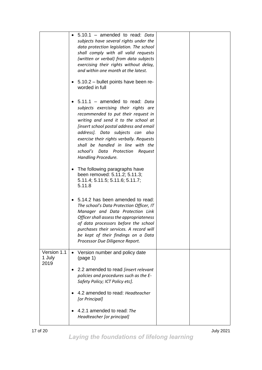|                               | 5.10.1 - amended to read: Data<br>subjects have several rights under the<br>data protection legislation. The school<br>shall comply with all valid requests<br>(written or verbal) from data subjects<br>exercising their rights without delay,<br>and within one month at the latest.<br>5.10.2 - bullet points have been re-<br>worded in full                                 |
|-------------------------------|----------------------------------------------------------------------------------------------------------------------------------------------------------------------------------------------------------------------------------------------------------------------------------------------------------------------------------------------------------------------------------|
|                               | 5.11.1 - amended to read: Data<br>subjects exercising their rights are<br>recommended to put their request in<br>writing and send it to the school at<br>[insert school postal address and email<br>address]. Data subjects can also<br>exercise their rights verbally. Requests<br>shall be handled in line with the<br>school's Data Protection Request<br>Handling Procedure. |
|                               | The following paragraphs have<br>been removed: 5.11.2; 5.11.3;<br>5.11.4; 5.11.5; 5.11.6; 5.11.7;<br>5.11.8                                                                                                                                                                                                                                                                      |
|                               | 5.14.2 has been amended to read:<br>The school's Data Protection Officer, IT<br>Manager and Data Protection Link<br>Officer shall assess the appropriateness<br>of data processors before the school<br>purchases their services. A record will<br>be kept of their findings on a Data<br>Processor Due Diligence Report.                                                        |
| Version 1.1<br>1 July<br>2019 | Version number and policy date<br>(page 1)                                                                                                                                                                                                                                                                                                                                       |
|                               | 2.2 amended to read <i>[insert relevant</i><br>policies and procedures such as the E-<br>Safety Policy; ICT Policy etc].                                                                                                                                                                                                                                                         |
|                               | 4.2 amended to read: Headteacher<br>[or Principal]                                                                                                                                                                                                                                                                                                                               |
|                               | 4.2.1 amended to read: The<br>Headteacher [or principal]                                                                                                                                                                                                                                                                                                                         |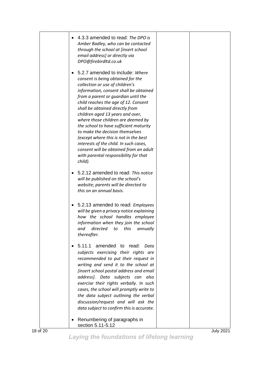|          | 4.3.3 amended to read: The DPO is<br>Amber Badley, who can be contacted<br>through the school at [insert school<br>email address] or directly via<br>DPO@firebirdltd.co.uk                                                                                                                                                                                                                                                                                                                                                                                                                                  |                  |
|----------|-------------------------------------------------------------------------------------------------------------------------------------------------------------------------------------------------------------------------------------------------------------------------------------------------------------------------------------------------------------------------------------------------------------------------------------------------------------------------------------------------------------------------------------------------------------------------------------------------------------|------------------|
|          | 5.2.7 amended to include: Where<br>consent is being obtained for the<br>collection or use of children's<br>information, consent shall be obtained<br>from a parent or quardian until the<br>child reaches the age of 12. Consent<br>shall be obtained directly from<br>children aged 13 years and over,<br>where those children are deemed by<br>the school to have sufficient maturity<br>to make the decision themselves<br>(except where this is not in the best<br>interests of the child. In such cases,<br>consent will be obtained from an adult<br>with parental responsibility for that<br>child). |                  |
|          | 5.2.12 amended to read: This notice<br>will be published on the school's<br>website; parents will be directed to<br>this on an annual basis.                                                                                                                                                                                                                                                                                                                                                                                                                                                                |                  |
|          | • 5.2.13 amended to read: Employees<br>will be given a privacy notice explaining<br>how the school handles employee<br>information when they join the school<br>and directed to this annually<br>thereafter.                                                                                                                                                                                                                                                                                                                                                                                                |                  |
|          | 5.11.1<br>amended to read: Data<br>subjects exercising their rights are<br>recommended to put their request in<br>writing and send it to the school at<br>[insert school postal address and email<br>address]. Data subjects can<br>also<br>exercise their rights verbally. In such<br>cases, the school will promptly write to<br>the data subject outlining the verbal<br>discussion/request and will ask the<br>data subject to confirm this is accurate.                                                                                                                                                |                  |
| 18 of 20 | Renumbering of paragraphs in<br>section 5.11-5.12                                                                                                                                                                                                                                                                                                                                                                                                                                                                                                                                                           | <b>July 2021</b> |

*Laying the foundations of lifelong learning*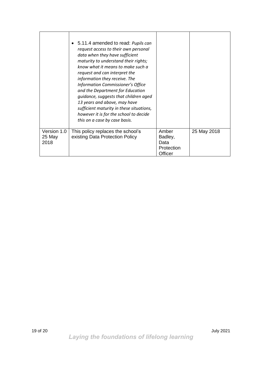|                               | • 5.11.4 amended to read: Pupils can<br>request access to their own personal<br>data when they have sufficient<br>maturity to understand their rights;<br>know what it means to make such a<br>request and can interpret the<br>information they receive. The<br>Information Commissioner's Office<br>and the Department for Education<br>quidance, suggests that children aged<br>13 years and above, may have<br>sufficient maturity in these situations,<br>however it is for the school to decide<br>this on a case by case basis. |                                                   |             |
|-------------------------------|----------------------------------------------------------------------------------------------------------------------------------------------------------------------------------------------------------------------------------------------------------------------------------------------------------------------------------------------------------------------------------------------------------------------------------------------------------------------------------------------------------------------------------------|---------------------------------------------------|-------------|
| Version 1.0<br>25 May<br>2018 | This policy replaces the school's<br>existing Data Protection Policy                                                                                                                                                                                                                                                                                                                                                                                                                                                                   | Amber<br>Badley,<br>Data<br>Protection<br>Officer | 25 May 2018 |